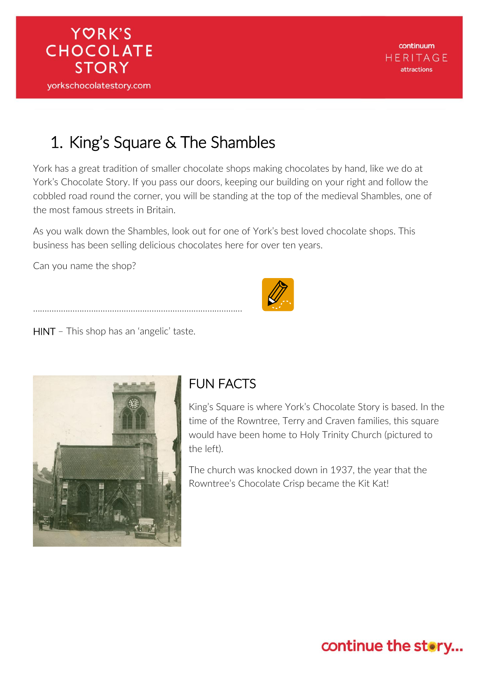

## 1. King's Square & The Shambles

York has a great tradition of smaller chocolate shops making chocolates by hand, like we do at York's Chocolate Story. If you pass our doors, keeping our building on your right and follow the cobbled road round the corner, you will be standing at the top of the medieval Shambles, one of the most famous streets in Britain.

As you walk down the Shambles, look out for one of York's best loved chocolate shops. This business has been selling delicious chocolates here for over ten years.

Can you name the shop?



HINT – This shop has an 'angelic' taste.

………………………………………………………………………………



#### FUN FACTS

King's Square is where York's Chocolate Story is based. In the time of the Rowntree, Terry and Craven families, this square would have been home to Holy Trinity Church (pictured to the left).

The church was knocked down in 1937, the year that the Rowntree's Chocolate Crisp became the Kit Kat!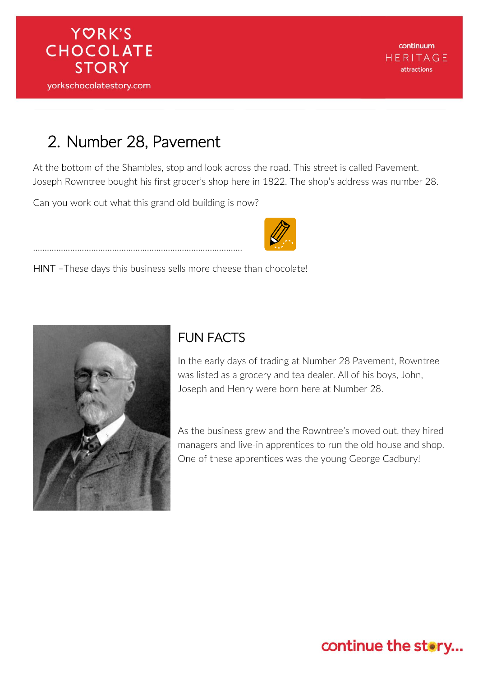# 2. Number 28, Pavement

At the bottom of the Shambles, stop and look across the road. This street is called Pavement. Joseph Rowntree bought his first grocer's shop here in 1822. The shop's address was number 28.

Can you work out what this grand old building is now?

………………………………………………………………………………

HINT –These days this business sells more cheese than chocolate!



#### FUN FACTS

In the early days of trading at Number 28 Pavement, Rowntree was listed as a grocery and tea dealer. All of his boys, John, Joseph and Henry were born here at Number 28.

As the business grew and the Rowntree's moved out, they hired managers and live-in apprentices to run the old house and shop. One of these apprentices was the young George Cadbury!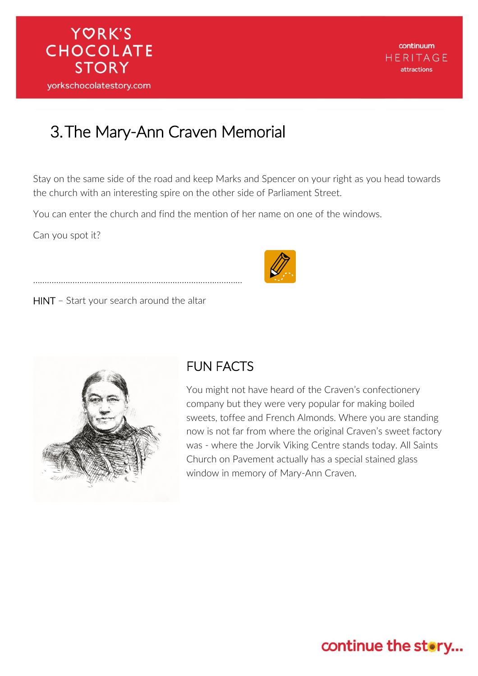## 3.The Mary-Ann Craven Memorial

Stay on the same side of the road and keep Marks and Spencer on your right as you head towards the church with an interesting spire on the other side of Parliament Street.

You can enter the church and find the mention of her name on one of the windows.

Can you spot it?

Ĩ

HINT – Start your search around the altar

………………………………………………………………………………



#### FUN FACTS

You might not have heard of the Craven's confectionery company but they were very popular for making boiled sweets, toffee and French Almonds. Where you are standing now is not far from where the original Craven's sweet factory was - where the Jorvik Viking Centre stands today. All Saints Church on Pavement actually has a special stained glass window in memory of Mary-Ann Craven.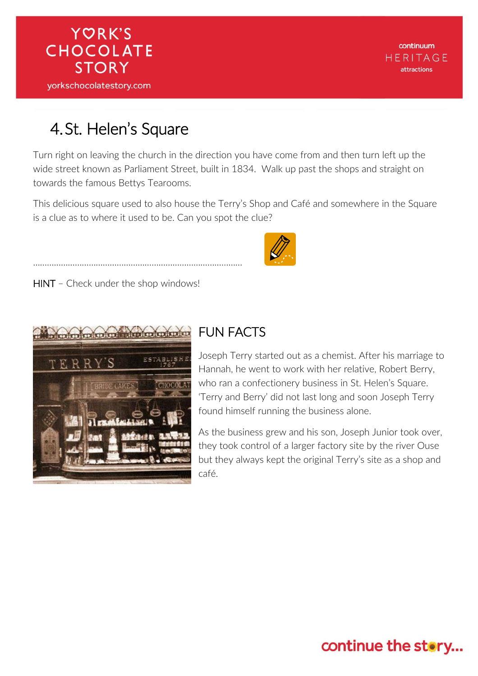

continuum HERITAGE attractions

### 4.St. Helen's Square

Turn right on leaving the church in the direction you have come from and then turn left up the wide street known as Parliament Street, built in 1834. Walk up past the shops and straight on towards the famous Bettys Tearooms.

This delicious square used to also house the Terry's Shop and Café and somewhere in the Square is a clue as to where it used to be. Can you spot the clue?

HINT - Check under the shop windows!

………………………………………………………………………………



#### FUN FACTS

Joseph Terry started out as a chemist. After his marriage to Hannah, he went to work with her relative, Robert Berry, who ran a confectionery business in St. Helen's Square. 'Terry and Berry' did not last long and soon Joseph Terry found himself running the business alone.

As the business grew and his son, Joseph Junior took over, they took control of a larger factory site by the river Ouse but they always kept the original Terry's site as a shop and café.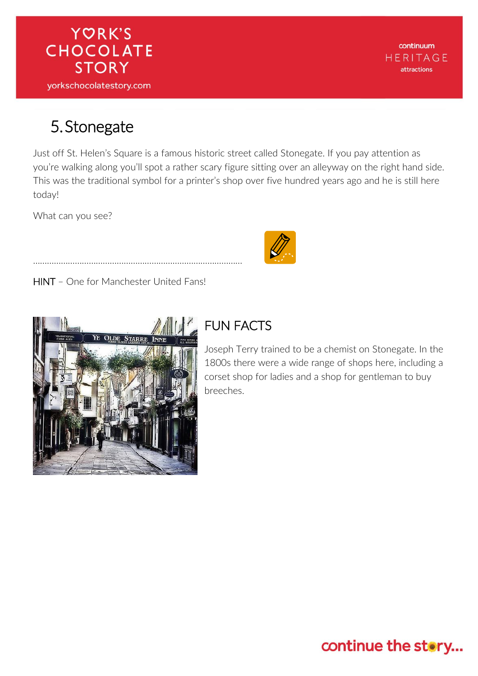

continuum **HERITAGE** attractions

#### 5.Stonegate

Just off St. Helen's Square is a famous historic street called Stonegate. If you pay attention as you're walking along you'll spot a rather scary figure sitting over an alleyway on the right hand side. This was the traditional symbol for a printer's shop over five hundred years ago and he is still here today!

What can you see?



HINT – One for Manchester United Fans!

………………………………………………………………………………



## FUN FACTS

Joseph Terry trained to be a chemist on Stonegate. In the 1800s there were a wide range of shops here, including a corset shop for ladies and a shop for gentleman to buy breeches.